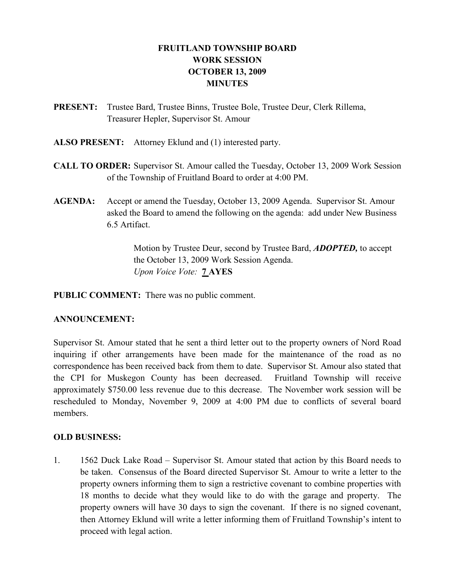# FRUITLAND TOWNSHIP BOARD WORK SESSION OCTOBER 13, 2009 MINUTES

- PRESENT: Trustee Bard, Trustee Binns, Trustee Bole, Trustee Deur, Clerk Rillema, Treasurer Hepler, Supervisor St. Amour
- ALSO PRESENT: Attorney Eklund and (1) interested party.
- CALL TO ORDER: Supervisor St. Amour called the Tuesday, October 13, 2009 Work Session of the Township of Fruitland Board to order at 4:00 PM.
- AGENDA: Accept or amend the Tuesday, October 13, 2009 Agenda. Supervisor St. Amour asked the Board to amend the following on the agenda: add under New Business 6.5 Artifact.

Motion by Trustee Deur, second by Trustee Bard, **ADOPTED**, to accept the October 13, 2009 Work Session Agenda. Upon Voice Vote: 7 AYES

PUBLIC COMMENT: There was no public comment.

### ANNOUNCEMENT:

Supervisor St. Amour stated that he sent a third letter out to the property owners of Nord Road inquiring if other arrangements have been made for the maintenance of the road as no correspondence has been received back from them to date. Supervisor St. Amour also stated that the CPI for Muskegon County has been decreased. Fruitland Township will receive approximately \$750.00 less revenue due to this decrease. The November work session will be rescheduled to Monday, November 9, 2009 at 4:00 PM due to conflicts of several board members.

#### OLD BUSINESS:

1. 1562 Duck Lake Road – Supervisor St. Amour stated that action by this Board needs to be taken. Consensus of the Board directed Supervisor St. Amour to write a letter to the property owners informing them to sign a restrictive covenant to combine properties with 18 months to decide what they would like to do with the garage and property. The property owners will have 30 days to sign the covenant. If there is no signed covenant, then Attorney Eklund will write a letter informing them of Fruitland Township's intent to proceed with legal action.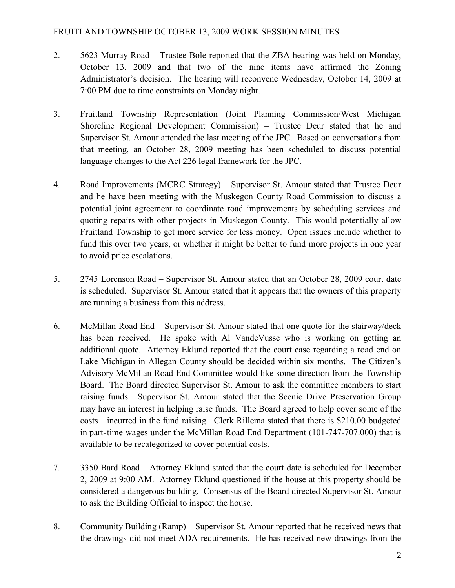- 2. 5623 Murray Road Trustee Bole reported that the ZBA hearing was held on Monday, October 13, 2009 and that two of the nine items have affirmed the Zoning Administrator's decision. The hearing will reconvene Wednesday, October 14, 2009 at 7:00 PM due to time constraints on Monday night.
- 3. Fruitland Township Representation (Joint Planning Commission/West Michigan Shoreline Regional Development Commission) – Trustee Deur stated that he and Supervisor St. Amour attended the last meeting of the JPC. Based on conversations from that meeting, an October 28, 2009 meeting has been scheduled to discuss potential language changes to the Act 226 legal framework for the JPC.
- 4. Road Improvements (MCRC Strategy) Supervisor St. Amour stated that Trustee Deur and he have been meeting with the Muskegon County Road Commission to discuss a potential joint agreement to coordinate road improvements by scheduling services and quoting repairs with other projects in Muskegon County. This would potentially allow Fruitland Township to get more service for less money. Open issues include whether to fund this over two years, or whether it might be better to fund more projects in one year to avoid price escalations.
- 5. 2745 Lorenson Road Supervisor St. Amour stated that an October 28, 2009 court date is scheduled. Supervisor St. Amour stated that it appears that the owners of this property are running a business from this address.
- 6. McMillan Road End Supervisor St. Amour stated that one quote for the stairway/deck has been received. He spoke with Al VandeVusse who is working on getting an additional quote. Attorney Eklund reported that the court case regarding a road end on Lake Michigan in Allegan County should be decided within six months. The Citizen's Advisory McMillan Road End Committee would like some direction from the Township Board. The Board directed Supervisor St. Amour to ask the committee members to start raising funds. Supervisor St. Amour stated that the Scenic Drive Preservation Group may have an interest in helping raise funds. The Board agreed to help cover some of the costs incurred in the fund raising. Clerk Rillema stated that there is \$210.00 budgeted in part- time wages under the McMillan Road End Department (101-747-707.000) that is available to be recategorized to cover potential costs.
- 7. 3350 Bard Road Attorney Eklund stated that the court date is scheduled for December 2, 2009 at 9:00 AM. Attorney Eklund questioned if the house at this property should be considered a dangerous building. Consensus of the Board directed Supervisor St. Amour to ask the Building Official to inspect the house.
- 8. Community Building (Ramp) Supervisor St. Amour reported that he received news that the drawings did not meet ADA requirements. He has received new drawings from the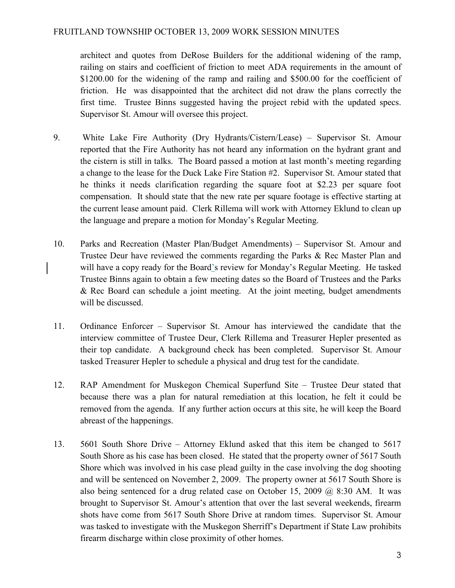architect and quotes from DeRose Builders for the additional widening of the ramp, railing on stairs and coefficient of friction to meet ADA requirements in the amount of \$1200.00 for the widening of the ramp and railing and \$500.00 for the coefficient of friction. He was disappointed that the architect did not draw the plans correctly the first time. Trustee Binns suggested having the project rebid with the updated specs. Supervisor St. Amour will oversee this project.

- 9. White Lake Fire Authority (Dry Hydrants/Cistern/Lease) Supervisor St. Amour reported that the Fire Authority has not heard any information on the hydrant grant and the cistern is still in talks. The Board passed a motion at last month's meeting regarding a change to the lease for the Duck Lake Fire Station #2. Supervisor St. Amour stated that he thinks it needs clarification regarding the square foot at \$2.23 per square foot compensation. It should state that the new rate per square footage is effective starting at the current lease amount paid. Clerk Rillema will work with Attorney Eklund to clean up the language and prepare a motion for Monday's Regular Meeting.
- 10. Parks and Recreation (Master Plan/Budget Amendments) Supervisor St. Amour and Trustee Deur have reviewed the comments regarding the Parks & Rec Master Plan and will have a copy ready for the Board's review for Monday's Regular Meeting. He tasked Trustee Binns again to obtain a few meeting dates so the Board of Trustees and the Parks & Rec Board can schedule a joint meeting. At the joint meeting, budget amendments will be discussed.
- 11. Ordinance Enforcer Supervisor St. Amour has interviewed the candidate that the interview committee of Trustee Deur, Clerk Rillema and Treasurer Hepler presented as their top candidate. A background check has been completed. Supervisor St. Amour tasked Treasurer Hepler to schedule a physical and drug test for the candidate.
- 12. RAP Amendment for Muskegon Chemical Superfund Site Trustee Deur stated that because there was a plan for natural remediation at this location, he felt it could be removed from the agenda. If any further action occurs at this site, he will keep the Board abreast of the happenings.
- 13. 5601 South Shore Drive Attorney Eklund asked that this item be changed to 5617 South Shore as his case has been closed. He stated that the property owner of 5617 South Shore which was involved in his case plead guilty in the case involving the dog shooting and will be sentenced on November 2, 2009. The property owner at 5617 South Shore is also being sentenced for a drug related case on October 15, 2009  $\omega$  8:30 AM. It was brought to Supervisor St. Amour's attention that over the last several weekends, firearm shots have come from 5617 South Shore Drive at random times. Supervisor St. Amour was tasked to investigate with the Muskegon Sherriff's Department if State Law prohibits firearm discharge within close proximity of other homes.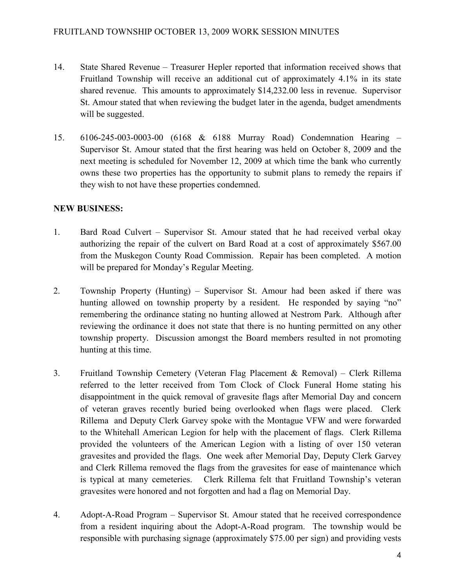- 14. State Shared Revenue Treasurer Hepler reported that information received shows that Fruitland Township will receive an additional cut of approximately 4.1% in its state shared revenue. This amounts to approximately \$14,232.00 less in revenue. Supervisor St. Amour stated that when reviewing the budget later in the agenda, budget amendments will be suggested.
- 15. 6106-245-003-0003-00 (6168 & 6188 Murray Road) Condemnation Hearing Supervisor St. Amour stated that the first hearing was held on October 8, 2009 and the next meeting is scheduled for November 12, 2009 at which time the bank who currently owns these two properties has the opportunity to submit plans to remedy the repairs if they wish to not have these properties condemned.

# NEW BUSINESS:

- 1. Bard Road Culvert Supervisor St. Amour stated that he had received verbal okay authorizing the repair of the culvert on Bard Road at a cost of approximately \$567.00 from the Muskegon County Road Commission. Repair has been completed. A motion will be prepared for Monday's Regular Meeting.
- 2. Township Property (Hunting) Supervisor St. Amour had been asked if there was hunting allowed on township property by a resident. He responded by saying "no" remembering the ordinance stating no hunting allowed at Nestrom Park. Although after reviewing the ordinance it does not state that there is no hunting permitted on any other township property. Discussion amongst the Board members resulted in not promoting hunting at this time.
- 3. Fruitland Township Cemetery (Veteran Flag Placement & Removal) Clerk Rillema referred to the letter received from Tom Clock of Clock Funeral Home stating his disappointment in the quick removal of gravesite flags after Memorial Day and concern of veteran graves recently buried being overlooked when flags were placed. Clerk Rillema and Deputy Clerk Garvey spoke with the Montague VFW and were forwarded to the Whitehall American Legion for help with the placement of flags. Clerk Rillema provided the volunteers of the American Legion with a listing of over 150 veteran gravesites and provided the flags. One week after Memorial Day, Deputy Clerk Garvey and Clerk Rillema removed the flags from the gravesites for ease of maintenance which is typical at many cemeteries. Clerk Rillema felt that Fruitland Township's veteran gravesites were honored and not forgotten and had a flag on Memorial Day.
- 4. Adopt-A-Road Program Supervisor St. Amour stated that he received correspondence from a resident inquiring about the Adopt-A-Road program. The township would be responsible with purchasing signage (approximately \$75.00 per sign) and providing vests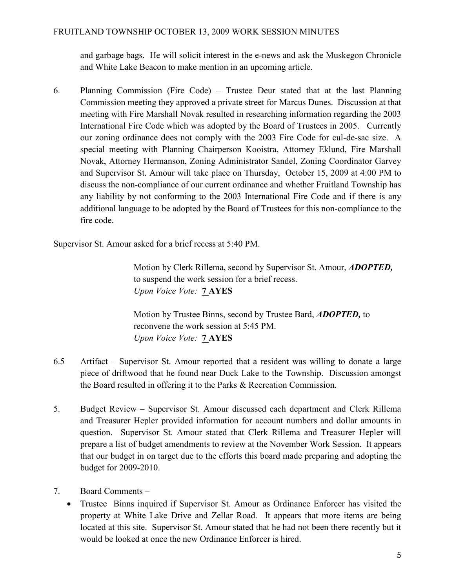and garbage bags. He will solicit interest in the e-news and ask the Muskegon Chronicle and White Lake Beacon to make mention in an upcoming article.

6. Planning Commission (Fire Code) – Trustee Deur stated that at the last Planning Commission meeting they approved a private street for Marcus Dunes. Discussion at that meeting with Fire Marshall Novak resulted in researching information regarding the 2003 International Fire Code which was adopted by the Board of Trustees in 2005. Currently our zoning ordinance does not comply with the 2003 Fire Code for cul-de-sac size. A special meeting with Planning Chairperson Kooistra, Attorney Eklund, Fire Marshall Novak, Attorney Hermanson, Zoning Administrator Sandel, Zoning Coordinator Garvey and Supervisor St. Amour will take place on Thursday, October 15, 2009 at 4:00 PM to discuss the non-compliance of our current ordinance and whether Fruitland Township has any liability by not conforming to the 2003 International Fire Code and if there is any additional language to be adopted by the Board of Trustees for this non-compliance to the fire code.

Supervisor St. Amour asked for a brief recess at 5:40 PM.

 Motion by Clerk Rillema, second by Supervisor St. Amour, ADOPTED, to suspend the work session for a brief recess. Upon Voice Vote: 7 AYES

 Motion by Trustee Binns, second by Trustee Bard, ADOPTED, to reconvene the work session at 5:45 PM. Upon Voice Vote: **7 AYES** 

- 6.5 Artifact Supervisor St. Amour reported that a resident was willing to donate a large piece of driftwood that he found near Duck Lake to the Township. Discussion amongst the Board resulted in offering it to the Parks & Recreation Commission.
- 5. Budget Review Supervisor St. Amour discussed each department and Clerk Rillema and Treasurer Hepler provided information for account numbers and dollar amounts in question. Supervisor St. Amour stated that Clerk Rillema and Treasurer Hepler will prepare a list of budget amendments to review at the November Work Session. It appears that our budget in on target due to the efforts this board made preparing and adopting the budget for 2009-2010.
- 7. Board Comments
	- Trustee Binns inquired if Supervisor St. Amour as Ordinance Enforcer has visited the property at White Lake Drive and Zellar Road. It appears that more items are being located at this site. Supervisor St. Amour stated that he had not been there recently but it would be looked at once the new Ordinance Enforcer is hired.